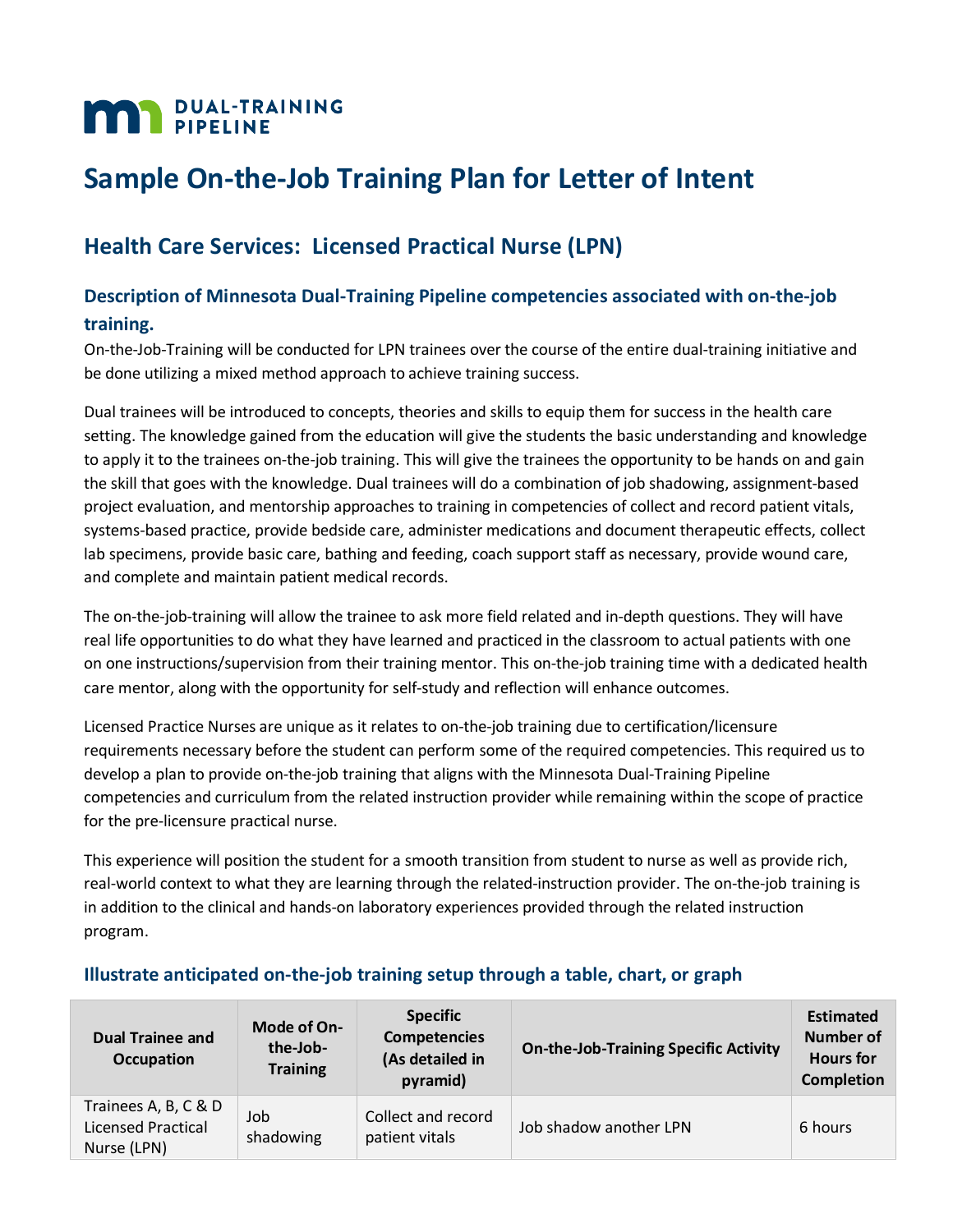# **MAN** PIPELINE

## **Sample On-the-Job Training Plan for Letter of Intent**

### **Health Care Services: Licensed Practical Nurse (LPN)**

#### **Description of Minnesota Dual-Training Pipeline competencies associated with on-the-job training.**

On-the-Job-Training will be conducted for LPN trainees over the course of the entire dual-training initiative and be done utilizing a mixed method approach to achieve training success.

Dual trainees will be introduced to concepts, theories and skills to equip them for success in the health care setting. The knowledge gained from the education will give the students the basic understanding and knowledge to apply it to the trainees on-the-job training. This will give the trainees the opportunity to be hands on and gain the skill that goes with the knowledge. Dual trainees will do a combination of job shadowing, assignment-based project evaluation, and mentorship approaches to training in competencies of collect and record patient vitals, systems-based practice, provide bedside care, administer medications and document therapeutic effects, collect lab specimens, provide basic care, bathing and feeding, coach support staff as necessary, provide wound care, and complete and maintain patient medical records.

The on-the-job-training will allow the trainee to ask more field related and in-depth questions. They will have real life opportunities to do what they have learned and practiced in the classroom to actual patients with one on one instructions/supervision from their training mentor. This on-the-job training time with a dedicated health care mentor, along with the opportunity for self-study and reflection will enhance outcomes.

Licensed Practice Nurses are unique as it relates to on-the-job training due to certification/licensure requirements necessary before the student can perform some of the required competencies. This required us to develop a plan to provide on-the-job training that aligns with the Minnesota Dual-Training Pipeline competencies and curriculum from the related instruction provider while remaining within the scope of practice for the pre-licensure practical nurse.

This experience will position the student for a smooth transition from student to nurse as well as provide rich, real-world context to what they are learning through the related-instruction provider. The on-the-job training is in addition to the clinical and hands-on laboratory experiences provided through the related instruction program.

| <b>Dual Trainee and</b><br><b>Occupation</b>              | Mode of On-<br>the-Job-<br><b>Training</b> | <b>Specific</b><br><b>Competencies</b><br>(As detailed in<br>pyramid) | <b>On-the-Job-Training Specific Activity</b> | <b>Estimated</b><br>Number of<br><b>Hours</b> for<br><b>Completion</b> |
|-----------------------------------------------------------|--------------------------------------------|-----------------------------------------------------------------------|----------------------------------------------|------------------------------------------------------------------------|
| Trainees A, B, C & D<br>Licensed Practical<br>Nurse (LPN) | Job<br>shadowing                           | Collect and record<br>patient vitals                                  | Job shadow another LPN                       | 6 hours                                                                |

#### **Illustrate anticipated on-the-job training setup through a table, chart, or graph**